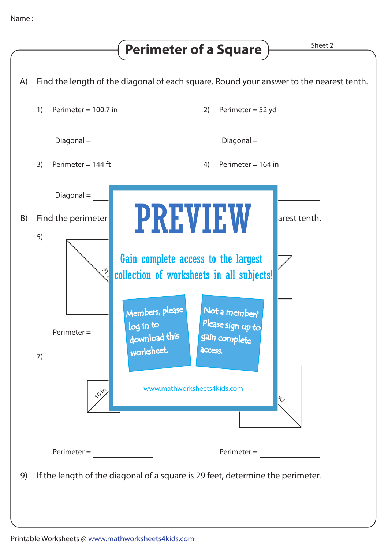